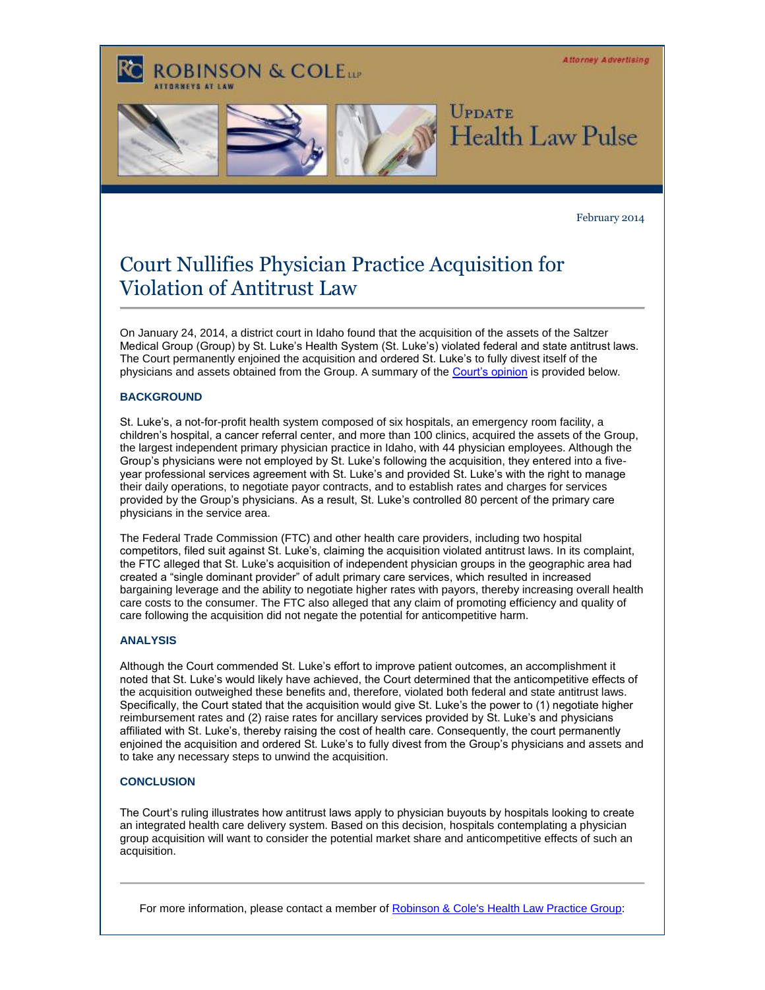**Attorney Advertising ROBINSON & COLELLE UPDATE Health Law Pulse** 

#### February 2014

# Court Nullifies Physician Practice Acquisition for Violation of Antitrust Law

On January 24, 2014, a district court in Idaho found that the acquisition of the assets of the Saltzer Medical Group (Group) by St. Luke's Health System (St. Luke's) violated federal and state antitrust laws. The Court permanently enjoined the acquisition and ordered St. Luke's to fully divest itself of the physicians and assets obtained from the Group. A summary of the [Court's opinion](http://t2806904.invoc.us/track.aspx?id=402|2AD478|6F10|19C|A5|0|C7|1|29F0A7D7&useSmaid=t&useCid=t&destination=http%3a%2f%2fwww.mlex.com%2fUS%2fAttachments%2f2014-01-24_58902Q511TWH4GVS%2fLukes.pdf&dchk=36C964CE) is provided below.

### **BACKGROUND**

St. Luke's, a not-for-profit health system composed of six hospitals, an emergency room facility, a children's hospital, a cancer referral center, and more than 100 clinics, acquired the assets of the Group, the largest independent primary physician practice in Idaho, with 44 physician employees. Although the Group's physicians were not employed by St. Luke's following the acquisition, they entered into a fiveyear professional services agreement with St. Luke's and provided St. Luke's with the right to manage their daily operations, to negotiate payor contracts, and to establish rates and charges for services provided by the Group's physicians. As a result, St. Luke's controlled 80 percent of the primary care physicians in the service area.

The Federal Trade Commission (FTC) and other health care providers, including two hospital competitors, filed suit against St. Luke's, claiming the acquisition violated antitrust laws. In its complaint, the FTC alleged that St. Luke's acquisition of independent physician groups in the geographic area had created a "single dominant provider" of adult primary care services, which resulted in increased bargaining leverage and the ability to negotiate higher rates with payors, thereby increasing overall health care costs to the consumer. The FTC also alleged that any claim of promoting efficiency and quality of care following the acquisition did not negate the potential for anticompetitive harm.

#### **ANALYSIS**

Although the Court commended St. Luke's effort to improve patient outcomes, an accomplishment it noted that St. Luke's would likely have achieved, the Court determined that the anticompetitive effects of the acquisition outweighed these benefits and, therefore, violated both federal and state antitrust laws. Specifically, the Court stated that the acquisition would give St. Luke's the power to (1) negotiate higher reimbursement rates and (2) raise rates for ancillary services provided by St. Luke's and physicians affiliated with St. Luke's, thereby raising the cost of health care. Consequently, the court permanently enjoined the acquisition and ordered St. Luke's to fully divest from the Group's physicians and assets and to take any necessary steps to unwind the acquisition.

#### **CONCLUSION**

The Court's ruling illustrates how antitrust laws apply to physician buyouts by hospitals looking to create an integrated health care delivery system. Based on this decision, hospitals contemplating a physician group acquisition will want to consider the potential market share and anticompetitive effects of such an acquisition.

For more information, please contact a member of [Robinson & Cole's Health Law Practice Group:](http://t2806904.invoc.us/track.aspx?id=402|2AD478|6F10|19C|A5|0|C8|1|29F0A7D7&useSmaid=t&useCid=t&destination=http%3a%2f%2fwww.rc.com%2fGroup.cfm%3fgID%3d10%26utm_source%3dVocus%26utm_medium%3demail%26utm_campaign%3dRobinson%2b%2526%2bCole%2bLLP%26utm_content%3dBUHC%2bUpdate%2bFebruary%2b2014&dchk=690F0E4D)